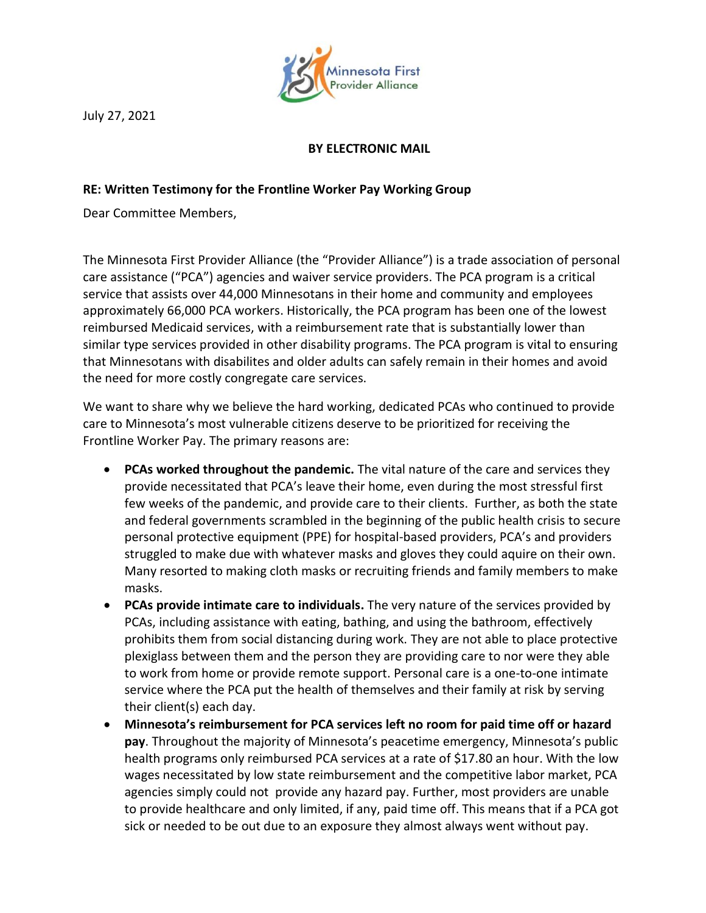

July 27, 2021

## **BY ELECTRONIC MAIL**

## **RE: Written Testimony for the Frontline Worker Pay Working Group**

Dear Committee Members,

The Minnesota First Provider Alliance (the "Provider Alliance") is a trade association of personal care assistance ("PCA") agencies and waiver service providers. The PCA program is a critical service that assists over 44,000 Minnesotans in their home and community and employees approximately 66,000 PCA workers. Historically, the PCA program has been one of the lowest reimbursed Medicaid services, with a reimbursement rate that is substantially lower than similar type services provided in other disability programs. The PCA program is vital to ensuring that Minnesotans with disabilites and older adults can safely remain in their homes and avoid the need for more costly congregate care services.

We want to share why we believe the hard working, dedicated PCAs who continued to provide care to Minnesota's most vulnerable citizens deserve to be prioritized for receiving the Frontline Worker Pay. The primary reasons are:

- **PCAs worked throughout the pandemic.** The vital nature of the care and services they provide necessitated that PCA's leave their home, even during the most stressful first few weeks of the pandemic, and provide care to their clients. Further, as both the state and federal governments scrambled in the beginning of the public health crisis to secure personal protective equipment (PPE) for hospital-based providers, PCA's and providers struggled to make due with whatever masks and gloves they could aquire on their own. Many resorted to making cloth masks or recruiting friends and family members to make masks.
- **PCAs provide intimate care to individuals.** The very nature of the services provided by PCAs, including assistance with eating, bathing, and using the bathroom, effectively prohibits them from social distancing during work. They are not able to place protective plexiglass between them and the person they are providing care to nor were they able to work from home or provide remote support. Personal care is a one-to-one intimate service where the PCA put the health of themselves and their family at risk by serving their client(s) each day.
- **Minnesota's reimbursement for PCA services left no room for paid time off or hazard pay**. Throughout the majority of Minnesota's peacetime emergency, Minnesota's public health programs only reimbursed PCA services at a rate of \$17.80 an hour. With the low wages necessitated by low state reimbursement and the competitive labor market, PCA agencies simply could not provide any hazard pay. Further, most providers are unable to provide healthcare and only limited, if any, paid time off. This means that if a PCA got sick or needed to be out due to an exposure they almost always went without pay.